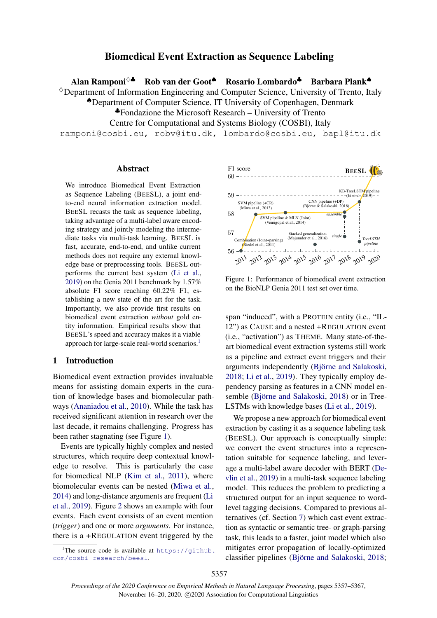# Biomedical Event Extraction as Sequence Labeling

Alan Ramponi<sup>◇▲</sup> Rob van der Goot<sup>▲</sup> Rosario Lombardo<sup>▲</sup> Barbara Plank<sup>▲</sup>

 $\Diamond$ Department of Information Engineering and Computer Science, University of Trento, Italy

♠Department of Computer Science, IT University of Copenhagen, Denmark

♣Fondazione the Microsoft Research – University of Trento

Centre for Computational and Systems Biology (COSBI), Italy

ramponi@cosbi.eu, robv@itu.dk, lombardo@cosbi.eu, bapl@itu.dk

### Abstract

We introduce Biomedical Event Extraction as Sequence Labeling (BEESL), a joint endto-end neural information extraction model. BEESL recasts the task as sequence labeling, taking advantage of a multi-label aware encoding strategy and jointly modeling the intermediate tasks via multi-task learning. BEESL is fast, accurate, end-to-end, and unlike current methods does not require any external knowledge base or preprocessing tools. BEESL outperforms the current best system [\(Li et al.,](#page-9-0) [2019\)](#page-9-0) on the Genia 2011 benchmark by 1.57% absolute F1 score reaching 60.22% F1, establishing a new state of the art for the task. Importantly, we also provide first results on biomedical event extraction *without* gold entity information. Empirical results show that BEESL's speed and accuracy makes it a viable approach for large-scale real-world scenarios.<sup>[1](#page-0-0)</sup>

# 1 Introduction

Biomedical event extraction provides invaluable means for assisting domain experts in the curation of knowledge bases and biomolecular pathways [\(Ananiadou et al.,](#page-8-0) [2010\)](#page-8-0). While the task has received significant attention in research over the last decade, it remains challenging. Progress has been rather stagnating (see Figure [1\)](#page-0-1).

Events are typically highly complex and nested structures, which require deep contextual knowledge to resolve. This is particularly the case for biomedical NLP [\(Kim et al.,](#page-8-1) [2011\)](#page-8-1), where biomolecular events can be nested [\(Miwa et al.,](#page-9-1) [2014\)](#page-9-1) and long-distance arguments are frequent [\(Li](#page-9-0) [et al.,](#page-9-0) [2019\)](#page-9-0). Figure [2](#page-1-0) shows an example with four events. Each event consists of an event mention (*trigger*) and one or more *arguments*. For instance, there is a +REGULATION event triggered by the

<span id="page-0-1"></span>

Figure 1: Performance of biomedical event extraction on the BioNLP Genia 2011 test set over time.

span "induced", with a PROTEIN entity (i.e., "IL-12") as CAUSE and a nested +REGULATION event (i.e., "activation") as THEME. Many state-of-theart biomedical event extraction systems still work as a pipeline and extract event triggers and their arguments independently (Björne and Salakoski, [2018;](#page-8-2) [Li et al.,](#page-9-0) [2019\)](#page-9-0). They typically employ dependency parsing as features in a CNN model en-semble (Björne and Salakoski, [2018\)](#page-8-2) or in Tree-LSTMs with knowledge bases [\(Li et al.,](#page-9-0) [2019\)](#page-9-0).

We propose a new approach for biomedical event extraction by casting it as a sequence labeling task (BEESL). Our approach is conceptually simple: we convert the event structures into a representation suitable for sequence labeling, and leverage a multi-label aware decoder with BERT [\(De](#page-8-3)[vlin et al.,](#page-8-3) [2019\)](#page-8-3) in a multi-task sequence labeling model. This reduces the problem to predicting a structured output for an input sequence to wordlevel tagging decisions. Compared to previous alternatives (cf. Section [7\)](#page-7-0) which cast event extraction as syntactic or semantic tree- or graph-parsing task, this leads to a faster, joint model which also mitigates error propagation of locally-optimized classifier pipelines (Björne and Salakoski, [2018;](#page-8-2)

<span id="page-0-0"></span><sup>&</sup>lt;sup>1</sup>The source code is available at  $https://github.$ [com/cosbi-research/beesl](https://github.com/cosbi-research/beesl).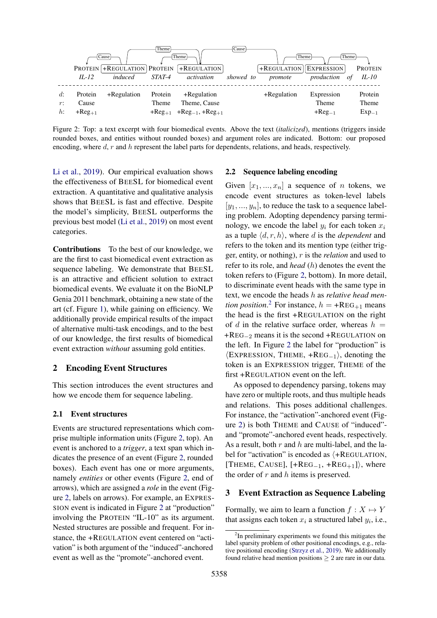<span id="page-1-0"></span>

Figure 2: Top: a text excerpt with four biomedical events. Above the text (*italicized*), mentions (triggers inside rounded boxes, and entities without rounded boxes) and argument roles are indicated. Bottom: our proposed encoding, where d, r and h represent the label parts for dependents, relations, and heads, respectively.

[Li et al.,](#page-9-0) [2019\)](#page-9-0). Our empirical evaluation shows the effectiveness of BEESL for biomedical event extraction. A quantitative and qualitative analysis shows that BEESL is fast and effective. Despite the model's simplicity, BEESL outperforms the previous best model [\(Li et al.,](#page-9-0) [2019\)](#page-9-0) on most event categories.

Contributions To the best of our knowledge, we are the first to cast biomedical event extraction as sequence labeling. We demonstrate that BEESL is an attractive and efficient solution to extract biomedical events. We evaluate it on the BioNLP Genia 2011 benchmark, obtaining a new state of the art (cf. Figure [1\)](#page-0-1), while gaining on efficiency. We additionally provide empirical results of the impact of alternative multi-task encodings, and to the best of our knowledge, the first results of biomedical event extraction *without* assuming gold entities.

# 2 Encoding Event Structures

This section introduces the event structures and how we encode them for sequence labeling.

# 2.1 Event structures

Events are structured representations which comprise multiple information units (Figure [2,](#page-1-0) top). An event is anchored to a *trigger*, a text span which indicates the presence of an event (Figure [2,](#page-1-0) rounded boxes). Each event has one or more arguments, namely *entities* or other events (Figure [2,](#page-1-0) end of arrows), which are assigned a *role* in the event (Figure [2,](#page-1-0) labels on arrows). For example, an EXPRES-SION event is indicated in Figure [2](#page-1-0) at "production" involving the PROTEIN "IL-10" as its argument. Nested structures are possible and frequent. For instance, the +REGULATION event centered on "activation" is both argument of the "induced"-anchored event as well as the "promote"-anchored event.

#### 2.2 Sequence labeling encoding

Given  $[x_1, ..., x_n]$  a sequence of *n* tokens, we encode event structures as token-level labels  $[y_1, ..., y_n]$ , to reduce the task to a sequence labeling problem. Adopting dependency parsing terminology, we encode the label  $y_i$  for each token  $x_i$ as a tuple  $\langle d, r, h \rangle$ , where d is the *dependent* and refers to the token and its mention type (either trigger, entity, or nothing), r is the *relation* and used to refer to its role, and *head* (h) denotes the event the token refers to (Figure [2,](#page-1-0) bottom). In more detail, to discriminate event heads with the same type in text, we encode the heads h as *relative head mention position*.<sup>[2](#page-1-1)</sup> For instance,  $h = +\text{REG}_{+1}$  means the head is the first +REGULATION on the right of d in the relative surface order, whereas  $h =$ +REG−<sup>2</sup> means it is the second +REGULATION on the left. In Figure [2](#page-1-0) the label for "production" is  $\langle$ EXPRESSION, THEME, +REG<sub>-1</sub> $\rangle$ , denoting the token is an EXPRESSION trigger, THEME of the first +REGULATION event on the left.

As opposed to dependency parsing, tokens may have zero or multiple roots, and thus multiple heads and relations. This poses additional challenges. For instance, the "activation"-anchored event (Figure [2\)](#page-1-0) is both THEME and CAUSE of "induced" and "promote"-anchored event heads, respectively. As a result, both  $r$  and  $h$  are multi-label, and the label for "activation" is encoded as  $\langle +$ REGULATION, [THEME, CAUSE],  $[+REG_{-1}, +REG_{+1}]$ , where the order of  $r$  and  $h$  items is preserved.

### 3 Event Extraction as Sequence Labeling

Formally, we aim to learn a function  $f : X \mapsto Y$ that assigns each token  $x_i$  a structured label  $y_i$ , i.e.,

<span id="page-1-1"></span><sup>&</sup>lt;sup>2</sup>In preliminary experiments we found this mitigates the label sparsity problem of other positional encodings, e.g., relative positional encoding [\(Strzyz et al.,](#page-9-2) [2019\)](#page-9-2). We additionally found relative head mention positions  $\geq 2$  are rare in our data.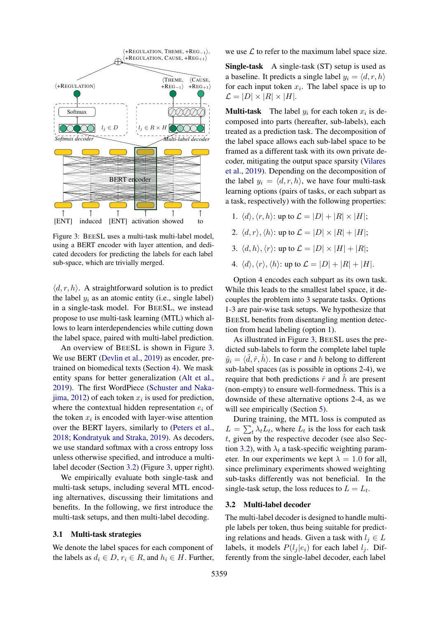<span id="page-2-0"></span>

Figure 3: BEESL uses a multi-task multi-label model, using a BERT encoder with layer attention, and dedicated decoders for predicting the labels for each label sub-space, which are trivially merged.

 $\langle d, r, h \rangle$ . A straightforward solution is to predict the label  $y_i$  as an atomic entity (i.e., single label) in a single-task model. For BEESL, we instead propose to use multi-task learning (MTL) which allows to learn interdependencies while cutting down the label space, paired with multi-label prediction.

An overview of BEESL is shown in Figure [3.](#page-2-0) We use BERT [\(Devlin et al.,](#page-8-3) [2019\)](#page-8-3) as encoder, pretrained on biomedical texts (Section [4\)](#page-3-0). We mask entity spans for better generalization [\(Alt et al.,](#page-8-4) [2019\)](#page-8-4). The first WordPiece [\(Schuster and Naka](#page-9-3)[jima,](#page-9-3) [2012\)](#page-9-3) of each token  $x_i$  is used for prediction, where the contextual hidden representation  $e_i$  of the token  $x_i$  is encoded with layer-wise attention over the BERT layers, similarly to [\(Peters et al.,](#page-9-4) [2018;](#page-9-4) [Kondratyuk and Straka,](#page-8-5) [2019\)](#page-8-5). As decoders, we use standard softmax with a cross entropy loss unless otherwise specified, and introduce a multilabel decoder (Section [3.2\)](#page-2-1) (Figure [3,](#page-2-0) upper right).

We empirically evaluate both single-task and multi-task setups, including several MTL encoding alternatives, discussing their limitations and benefits. In the following, we first introduce the multi-task setups, and then multi-label decoding.

### 3.1 Multi-task strategies

We denote the label spaces for each component of the labels as  $d_i \in D$ ,  $r_i \in R$ , and  $h_i \in H$ . Further, we use  $\mathcal L$  to refer to the maximum label space size.

Single-task A single-task (ST) setup is used as a baseline. It predicts a single label  $y_i = \langle d, r, h \rangle$ for each input token  $x_i$ . The label space is up to  $\mathcal{L} = |D| \times |R| \times |H|.$ 

**Multi-task** The label  $y_i$  for each token  $x_i$  is decomposed into parts (hereafter, sub-labels), each treated as a prediction task. The decomposition of the label space allows each sub-label space to be framed as a different task with its own private decoder, mitigating the output space sparsity [\(Vilares](#page-9-5) [et al.,](#page-9-5) [2019\)](#page-9-5). Depending on the decomposition of the label  $y_i = \langle d, r, h \rangle$ , we have four multi-task learning options (pairs of tasks, or each subpart as a task, respectively) with the following properties:

- 1.  $\langle d \rangle$ ,  $\langle r, h \rangle$ : up to  $\mathcal{L} = |D| + |R| \times |H|$ ;
- 2.  $\langle d, r \rangle$ ,  $\langle h \rangle$ : up to  $\mathcal{L} = |D| \times |R| + |H|$ ;
- 3.  $\langle d, h \rangle$ ,  $\langle r \rangle$ : up to  $\mathcal{L} = |D| \times |H| + |R|$ ;
- 4.  $\langle d \rangle$ ,  $\langle r \rangle$ ,  $\langle h \rangle$ : up to  $\mathcal{L} = |D| + |R| + |H|$ .

Option 4 encodes each subpart as its own task. While this leads to the smallest label space, it decouples the problem into 3 separate tasks. Options 1-3 are pair-wise task setups. We hypothesize that BEESL benefits from disentangling mention detection from head labeling (option 1).

As illustrated in Figure [3,](#page-2-0) BEESL uses the predicted sub-labels to form the complete label tuple  $\hat{y}_i = \langle \hat{d}, \hat{r}, \hat{h} \rangle$ . In case r and h belong to different sub-label spaces (as is possible in options 2-4), we require that both predictions  $\hat{r}$  and  $\hat{h}$  are present (non-empty) to ensure well-formedness. This is a downside of these alternative options 2-4, as we will see empirically (Section [5\)](#page-3-1).

During training, the MTL loss is computed as  $L = \sum_t \lambda_t L_t$ , where  $L_t$  is the loss for each task t, given by the respective decoder (see also Sec-tion [3.2\)](#page-2-1), with  $\lambda_t$  a task-specific weighting parameter. In our experiments we kept  $\lambda = 1.0$  for all, since preliminary experiments showed weighting sub-tasks differently was not beneficial. In the single-task setup, the loss reduces to  $L = L_t$ .

# <span id="page-2-1"></span>3.2 Multi-label decoder

The multi-label decoder is designed to handle multiple labels per token, thus being suitable for predicting relations and heads. Given a task with  $l_i \in L$ labels, it models  $P(l_i | e_i)$  for each label  $l_i$ . Differently from the single-label decoder, each label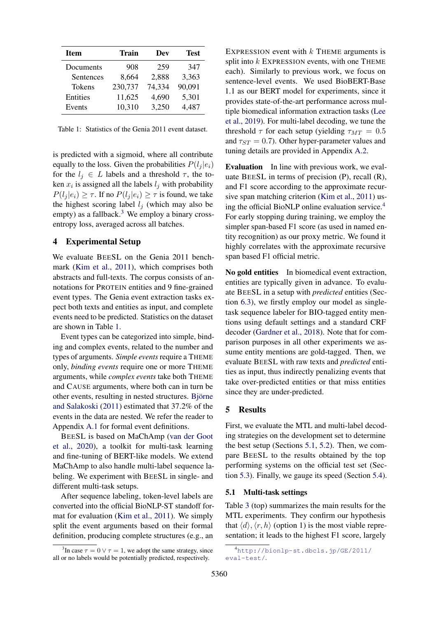<span id="page-3-3"></span>

| <b>Item</b> | <b>Train</b> | Dev    | <b>Test</b> |
|-------------|--------------|--------|-------------|
| Documents   | 908          | 259    | 347         |
| Sentences   | 8,664        | 2,888  | 3,363       |
| Tokens      | 230,737      | 74,334 | 90,091      |
| Entities    | 11,625       | 4,690  | 5,301       |
| Events      | 10,310       | 3,250  | 4,487       |

Table 1: Statistics of the Genia 2011 event dataset.

is predicted with a sigmoid, where all contribute equally to the loss. Given the probabilities  $P(l_i | e_i)$ for the  $l_i \in L$  labels and a threshold  $\tau$ , the token  $x_i$  is assigned all the labels  $l_j$  with probability  $P(l_i | e_i) \geq \tau$ . If no  $P(l_i | e_i) \geq \tau$  is found, we take the highest scoring label  $l_i$  (which may also be empty) as a fallback.<sup>[3](#page-3-2)</sup> We employ a binary crossentropy loss, averaged across all batches.

# <span id="page-3-0"></span>4 Experimental Setup

We evaluate BEESL on the Genia 2011 benchmark [\(Kim et al.,](#page-8-1) [2011\)](#page-8-1), which comprises both abstracts and full-texts. The corpus consists of annotations for PROTEIN entities and 9 fine-grained event types. The Genia event extraction tasks expect both texts and entities as input, and complete events need to be predicted. Statistics on the dataset are shown in Table [1.](#page-3-3)

Event types can be categorized into simple, binding and complex events, related to the number and types of arguments. *Simple events* require a THEME only, *binding events* require one or more THEME arguments, while *complex events* take both THEME and CAUSE arguments, where both can in turn be other events, resulting in nested structures. Björne [and Salakoski](#page-8-6) [\(2011\)](#page-8-6) estimated that 37.2% of the events in the data are nested. We refer the reader to Appendix [A.1](#page-10-0) for formal event definitions.

BEESL is based on MaChAmp [\(van der Goot](#page-8-7) [et al.,](#page-8-7) [2020\)](#page-8-7), a toolkit for multi-task learning and fine-tuning of BERT-like models. We extend MaChAmp to also handle multi-label sequence labeling. We experiment with BEESL in single- and different multi-task setups.

After sequence labeling, token-level labels are converted into the official BioNLP-ST standoff format for evaluation [\(Kim et al.,](#page-8-1) [2011\)](#page-8-1). We simply split the event arguments based on their formal definition, producing complete structures (e.g., an

EXPRESSION event with  $k$  THEME arguments is split into  $k$  EXPRESSION events, with one THEME each). Similarly to previous work, we focus on sentence-level events. We used BioBERT-Base 1.1 as our BERT model for experiments, since it provides state-of-the-art performance across multiple biomedical information extraction tasks [\(Lee](#page-8-8) [et al.,](#page-8-8) [2019\)](#page-8-8). For multi-label decoding, we tune the threshold  $\tau$  for each setup (yielding  $\tau_{MT} = 0.5$ and  $\tau_{ST} = 0.7$ ). Other hyper-parameter values and tuning details are provided in Appendix [A.2.](#page-10-1)

Evaluation In line with previous work, we evaluate BEESL in terms of precision (P), recall (R), and F1 score according to the approximate recursive span matching criterion [\(Kim et al.,](#page-8-1) [2011\)](#page-8-1) using the official BioNLP online evaluation service.[4](#page-3-4) For early stopping during training, we employ the simpler span-based F1 score (as used in named entity recognition) as our proxy metric. We found it highly correlates with the approximate recursive span based F1 official metric.

No gold entities In biomedical event extraction, entities are typically given in advance. To evaluate BEESL in a setup with *predicted* entities (Section [6.3\)](#page-6-0), we firstly employ our model as singletask sequence labeler for BIO-tagged entity mentions using default settings and a standard CRF decoder [\(Gardner et al.,](#page-8-9) [2018\)](#page-8-9). Note that for comparison purposes in all other experiments we assume entity mentions are gold-tagged. Then, we evaluate BEESL with raw texts and *predicted* entities as input, thus indirectly penalizing events that take over-predicted entities or that miss entities since they are under-predicted.

### <span id="page-3-1"></span>5 Results

First, we evaluate the MTL and multi-label decoding strategies on the development set to determine the best setup (Sections [5.1,](#page-3-5) [5.2\)](#page-4-0). Then, we compare BEESL to the results obtained by the top performing systems on the official test set (Section [5.3\)](#page-4-1). Finally, we gauge its speed (Section [5.4\)](#page-5-0).

# <span id="page-3-5"></span>5.1 Multi-task settings

Table [3](#page-4-2) (top) summarizes the main results for the MTL experiments. They confirm our hypothesis that  $\langle d \rangle$ ,  $\langle r, h \rangle$  (option 1) is the most viable representation; it leads to the highest F1 score, largely

<span id="page-3-2"></span><sup>&</sup>lt;sup>3</sup>In case  $\tau = 0 \vee \tau = 1$ , we adopt the same strategy, since all or no labels would be potentially predicted, respectively.

<span id="page-3-4"></span><sup>4</sup>[http://bionlp-st.dbcls.jp/GE/2011/](http://bionlp-st.dbcls.jp/GE/2011/eval-test/) [eval-test/](http://bionlp-st.dbcls.jp/GE/2011/eval-test/).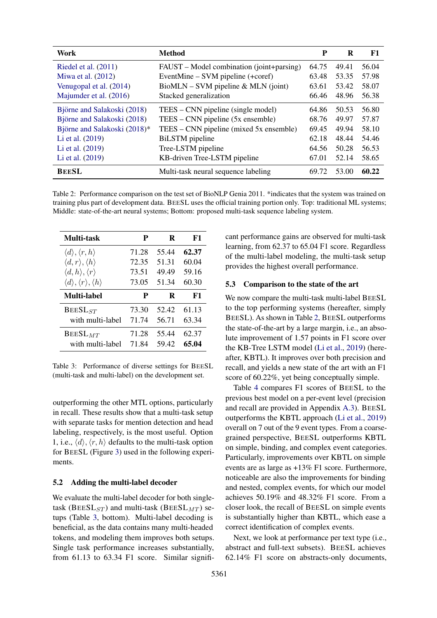<span id="page-4-3"></span>

| Work                         | <b>Method</b>                             | P     | R     | ${\bf F1}$ |
|------------------------------|-------------------------------------------|-------|-------|------------|
| Riedel et al. $(2011)$       | FAUST – Model combination (joint+parsing) | 64.75 | 49.41 | 56.04      |
| Miwa et al. $(2012)$         | EventMine – SVM pipeline (+coref)         | 63.48 | 53.35 | 57.98      |
| Venugopal et al. (2014)      | $BiomLN - SVM pipeline & MLN (joint)$     | 63.61 | 53.42 | 58.07      |
| Majumder et al. (2016)       | Stacked generalization                    | 66.46 | 48.96 | 56.38      |
| Björne and Salakoski (2018)  | TEES – CNN pipeline (single model)        | 64.86 | 50.53 | 56.80      |
| Björne and Salakoski (2018)  | $TEES - CNN pipeline (5x ensemble)$       | 68.76 | 49.97 | 57.87      |
| Björne and Salakoski (2018)* | TEES – CNN pipeline (mixed 5x ensemble)   | 69.45 | 49.94 | 58.10      |
| Li et al. (2019)             | <b>BiLSTM</b> pipeline                    | 62.18 | 48.44 | 54.46      |
| Li et al. (2019)             | Tree-LSTM pipeline                        | 64.56 | 50.28 | 56.53      |
| Li et al. (2019)             | KB-driven Tree-LSTM pipeline              | 67.01 | 52.14 | 58.65      |
| <b>BEESL</b>                 | Multi-task neural sequence labeling       | 69.72 | 53.00 | 60.22      |

Table 2: Performance comparison on the test set of BioNLP Genia 2011. \*indicates that the system was trained on training plus part of development data. BEESL uses the official training portion only. Top: traditional ML systems; Middle: state-of-the-art neural systems; Bottom: proposed multi-task sequence labeling system.

<span id="page-4-2"></span>

| Multi-task                                                | P     | R     | F1    |
|-----------------------------------------------------------|-------|-------|-------|
| $\langle d \rangle, \langle r, h \rangle$                 | 71.28 | 55.44 | 62.37 |
| $\langle d, r \rangle, \langle h \rangle$                 | 72.35 | 51.31 | 60.04 |
| $\langle d, h \rangle, \langle r \rangle$                 | 73.51 | 49.49 | 59.16 |
| $\langle d \rangle, \langle r \rangle, \langle h \rangle$ | 73.05 | 51.34 | 60.30 |
| Multi-label                                               | P     | R     | F1    |
| $BEESL_{ST}$                                              | 73.30 | 52.42 | 61.13 |
| with multi-label                                          | 71.74 | 56.71 | 63.34 |
| $BEESL_{MT}$                                              | 71.28 | 55.44 | 62.37 |
| with multi-label                                          | 71.84 | 59.42 | 65.04 |

Table 3: Performance of diverse settings for BEESL (multi-task and multi-label) on the development set.

outperforming the other MTL options, particularly in recall. These results show that a multi-task setup with separate tasks for mention detection and head labeling, respectively, is the most useful. Option 1, i.e.,  $\langle d \rangle$ ,  $\langle r, h \rangle$  defaults to the multi-task option for BEESL (Figure [3\)](#page-2-0) used in the following experiments.

# <span id="page-4-0"></span>5.2 Adding the multi-label decoder

We evaluate the multi-label decoder for both singletask ( $BEESL<sub>ST</sub>$ ) and multi-task ( $BEESL<sub>MT</sub>$ ) setups (Table [3,](#page-4-2) bottom). Multi-label decoding is beneficial, as the data contains many multi-headed tokens, and modeling them improves both setups. Single task performance increases substantially, from 61.13 to 63.34 F1 score. Similar significant performance gains are observed for multi-task learning, from 62.37 to 65.04 F1 score. Regardless of the multi-label modeling, the multi-task setup provides the highest overall performance.

### <span id="page-4-1"></span>5.3 Comparison to the state of the art

We now compare the multi-task multi-label BEESL to the top performing systems (hereafter, simply BEESL). As shown in Table [2,](#page-4-3) BEESL outperforms the state-of-the-art by a large margin, i.e., an absolute improvement of 1.57 points in F1 score over the KB-Tree LSTM model [\(Li et al.,](#page-9-0) [2019\)](#page-9-0) (hereafter, KBTL). It improves over both precision and recall, and yields a new state of the art with an F1 score of 60.22%, yet being conceptually simple.

Table [4](#page-5-1) compares F1 scores of BEESL to the previous best model on a per-event level (precision and recall are provided in Appendix [A.3\)](#page-10-2). BEESL outperforms the KBTL approach [\(Li et al.,](#page-9-0) [2019\)](#page-9-0) overall on 7 out of the 9 event types. From a coarsegrained perspective, BEESL outperforms KBTL on simple, binding, and complex event categories. Particularly, improvements over KBTL on simple events are as large as +13% F1 score. Furthermore, noticeable are also the improvements for binding and nested, complex events, for which our model achieves 50.19% and 48.32% F1 score. From a closer look, the recall of BEESL on simple events is substantially higher than KBTL, which ease a correct identification of complex events.

Next, we look at performance per text type (i.e., abstract and full-text subsets). BEESL achieves 62.14% F1 score on abstracts-only documents,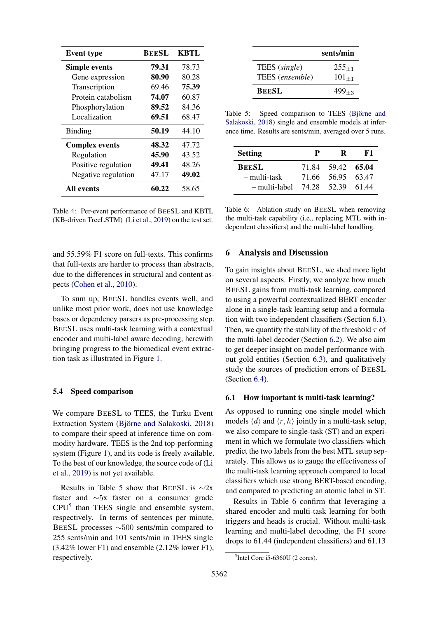<span id="page-5-1"></span>

| <b>Event type</b>     | <b>BEESL</b> | <b>KBTL</b> |
|-----------------------|--------------|-------------|
| <b>Simple events</b>  | 79.31        | 78.73       |
| Gene expression       | 80.90        | 80.28       |
| Transcription         | 69.46        | 75.39       |
| Protein catabolism    | 74.07        | 60.87       |
| Phosphorylation       | 89.52        | 84.36       |
| Localization          | 69.51        | 68.47       |
| <b>Binding</b>        | 50.19        | 44.10       |
| <b>Complex events</b> | 48.32        | 47.72       |
| Regulation            | 45.90        | 43.52       |
| Positive regulation   | 49.41        | 48.26       |
| Negative regulation   | 47.17        | 49.02       |
| All events            | 60.22        | 58.65       |

Table 4: Per-event performance of BEESL and KBTL (KB-driven TreeLSTM) [\(Li et al.,](#page-9-0) [2019\)](#page-9-0) on the test set.

and 55.59% F1 score on full-texts. This confirms that full-texts are harder to process than abstracts, due to the differences in structural and content aspects [\(Cohen et al.,](#page-8-10) [2010\)](#page-8-10).

To sum up, BEESL handles events well, and unlike most prior work, does not use knowledge bases or dependency parsers as pre-processing step. BEESL uses multi-task learning with a contextual encoder and multi-label aware decoding, herewith bringing progress to the biomedical event extraction task as illustrated in Figure [1.](#page-0-1)

### <span id="page-5-0"></span>5.4 Speed comparison

We compare BEESL to TEES, the Turku Event Extraction System (Björne and Salakoski, [2018\)](#page-8-2) to compare their speed at inference time on commodity hardware. TEES is the 2nd top-performing system (Figure [1\)](#page-0-1), and its code is freely available. To the best of our knowledge, the source code of [\(Li](#page-9-0) [et al.,](#page-9-0) [2019\)](#page-9-0) is not yet available.

Results in Table [5](#page-5-2) show that BEESL is  $\sim$ 2x faster and ∼5x faster on a consumer grade  $CPU<sup>5</sup>$  $CPU<sup>5</sup>$  $CPU<sup>5</sup>$  than TEES single and ensemble system, respectively. In terms of sentences per minute, BEESL processes ∼500 sents/min compared to 255 sents/min and 101 sents/min in TEES single (3.42% lower F1) and ensemble (2.12% lower F1), respectively.

<span id="page-5-2"></span>

|                 | sents/min  |
|-----------------|------------|
| TEES (single)   | $255_{+1}$ |
| TEES (ensemble) | $101_{+1}$ |
| <b>BEESL</b>    | $499_{+3}$ |

Table 5: Speed comparison to TEES (Björne and [Salakoski,](#page-8-2) [2018\)](#page-8-2) single and ensemble models at inference time. Results are sents/min, averaged over 5 runs.

<span id="page-5-5"></span>

| <b>Setting</b> | P           | R                 | к1    |
|----------------|-------------|-------------------|-------|
| <b>BEESL</b>   |             | 71.84 59.42 65.04 |       |
| – multi-task   |             | 71.66 56.95 63.47 |       |
| – multi-label  | 74.28 52.39 |                   | 61.44 |

Table 6: Ablation study on BEESL when removing the multi-task capability (i.e., replacing MTL with independent classifiers) and the multi-label handling.

### 6 Analysis and Discussion

To gain insights about BEESL, we shed more light on several aspects. Firstly, we analyze how much BEESL gains from multi-task learning, compared to using a powerful contextualized BERT encoder alone in a single-task learning setup and a formulation with two independent classifiers (Section [6.1\)](#page-5-4). Then, we quantify the stability of the threshold  $\tau$  of the multi-label decoder (Section [6.2\)](#page-6-1). We also aim to get deeper insight on model performance without gold entities (Section [6.3\)](#page-6-0), and qualitatively study the sources of prediction errors of BEESL (Section [6.4\)](#page-6-2).

#### <span id="page-5-4"></span>6.1 How important is multi-task learning?

As opposed to running one single model which models  $\langle d \rangle$  and  $\langle r, h \rangle$  jointly in a multi-task setup, we also compare to single-task (ST) and an experiment in which we formulate two classifiers which predict the two labels from the best MTL setup separately. This allows us to gauge the effectiveness of the multi-task learning approach compared to local classifiers which use strong BERT-based encoding, and compared to predicting an atomic label in ST.

Results in Table [6](#page-5-5) confirm that leveraging a shared encoder and multi-task learning for both triggers and heads is crucial. Without multi-task learning and multi-label decoding, the F1 score drops to 61.44 (independent classifiers) and 61.13

<span id="page-5-3"></span><sup>5</sup> Intel Core i5-6360U (2 cores).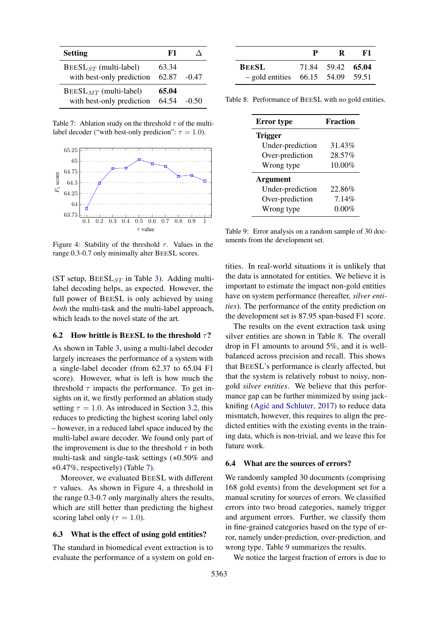<span id="page-6-3"></span>

| <b>Setting</b>                                          | F1             |         |
|---------------------------------------------------------|----------------|---------|
| $BEESLST$ (multi-label)<br>with best-only prediction    | 63.34<br>62.87 | $-0.47$ |
| $BEESL_{MT}$ (multi-label)<br>with best-only prediction | 65.04<br>64.54 | $-0.50$ |

Table 7: Ablation study on the threshold  $\tau$  of the multilabel decoder ("with best-only predicion":  $\tau = 1.0$ ).

<span id="page-6-4"></span>

Figure 4: Stability of the threshold  $\tau$ . Values in the range 0.3-0.7 only minimally alter BEESL scores.

(ST setup,  $BEESL<sub>ST</sub>$  in Table [3\)](#page-4-2). Adding multilabel decoding helps, as expected. However, the full power of BEESL is only achieved by using *both* the multi-task and the multi-label approach, which leads to the novel state of the art.

### <span id="page-6-1"></span>6.2 How brittle is BEESL to the threshold  $\tau$ ?

As shown in Table [3,](#page-4-2) using a multi-label decoder largely increases the performance of a system with a single-label decoder (from 62.37 to 65.04 F1 score). However, what is left is how much the threshold  $\tau$  impacts the performance. To get insights on it, we firstly performed an ablation study setting  $\tau = 1.0$ . As introduced in Section [3.2,](#page-2-1) this reduces to predicting the highest scoring label only – however, in a reduced label space induced by the multi-label aware decoder. We found only part of the improvement is due to the threshold  $\tau$  in both multi-task and single-task settings (+0.50% and +0.47%, respectively) (Table [7\)](#page-6-3).

Moreover, we evaluated BEESL with different  $\tau$  values. As shown in Figure [4,](#page-6-4) a threshold in the range 0.3-0.7 only marginally alters the results, which are still better than predicting the highest scoring label only ( $\tau = 1.0$ ).

### <span id="page-6-0"></span>6.3 What is the effect of using gold entities?

The standard in biomedical event extraction is to evaluate the performance of a system on gold en-

<span id="page-6-5"></span>

|                                     | $\mathbf{p}$ | R                 | - F1 |
|-------------------------------------|--------------|-------------------|------|
| <b>BEESL</b>                        |              | 71.84 59.42 65.04 |      |
| $-$ gold entities 66.15 54.09 59.51 |              |                   |      |

<span id="page-6-6"></span>Table 8: Performance of BEESL with *no* gold entities.

| <b>Error</b> type | <b>Fraction</b> |
|-------------------|-----------------|
| <b>Trigger</b>    |                 |
| Under-prediction  | 31.43%          |
| Over-prediction   | 28.57%          |
| Wrong type        | 10.00%          |
| <b>Argument</b>   |                 |
| Under-prediction  | 22.86%          |
| Over-prediction   | 7.14%           |
| Wrong type        | $0.00\%$        |

Table 9: Error analysis on a random sample of 30 documents from the development set.

tities. In real-world situations it is unlikely that the data is annotated for entities. We believe it is important to estimate the impact non-gold entities have on system performance (hereafter, *silver entities*). The performance of the entity prediction on the development set is 87.95 span-based F1 score.

The results on the event extraction task using silver entities are shown in Table [8.](#page-6-5) The overall drop in F1 amounts to around 5%, and it is wellbalanced across precision and recall. This shows that BEESL's performance is clearly affected, but that the system is relatively robust to noisy, nongold *silver entities*. We believe that this performance gap can be further minimized by using jackknifing  $(Agi\acute{c}$  and Schluter, [2017\)](#page-8-11) to reduce data mismatch, however, this requires to align the predicted entities with the existing events in the training data, which is non-trivial, and we leave this for future work.

### <span id="page-6-2"></span>6.4 What are the sources of errors?

We randomly sampled 30 documents (comprising 168 gold events) from the development set for a manual scrutiny for sources of errors. We classified errors into two broad categories, namely trigger and argument errors. Further, we classify them in fine-grained categories based on the type of error, namely under-prediction, over-prediction, and wrong type. Table [9](#page-6-6) summarizes the results.

We notice the largest fraction of errors is due to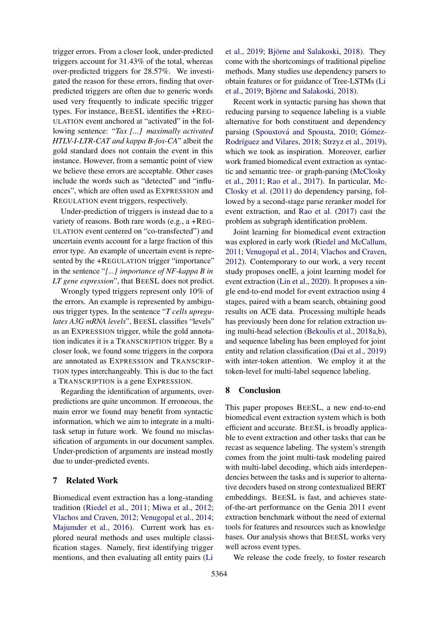trigger errors. From a closer look, under-predicted triggers account for 31.43% of the total, whereas over-predicted triggers for 28.57%. We investigated the reason for these errors, finding that overpredicted triggers are often due to generic words used very frequently to indicate specific trigger types. For instance, BEESL identifies the +REG-ULATION event anchored at "activated" in the following sentence: "*Tax [...] maximally activated HTLV-I-LTR-CAT and kappa B-fos-CA*" albeit the gold standard does not contain the event in this instance. However, from a semantic point of view we believe these errors are acceptable. Other cases include the words such as "detected" and "influences", which are often used as EXPRESSION and REGULATION event triggers, respectively.

Under-prediction of triggers is instead due to a variety of reasons. Both rare words (e.g., a +REG-ULATION event centered on "co-transfected") and uncertain events account for a large fraction of this error type. An example of uncertain event is represented by the +REGULATION trigger "importance" in the sentence "*[...] importance of NF-kappa B in LT gene expression*", that BEESL does not predict.

Wrongly typed triggers represent only 10% of the errors. An example is represented by ambiguous trigger types. In the sentence "*T cells upregulates A3G mRNA levels*", BEESL classifies "levels" as an EXPRESSION trigger, while the gold annotation indicates it is a TRANSCRIPTION trigger. By a closer look, we found some triggers in the corpora are annotated as EXPRESSION and TRANSCRIP-TION types interchangeably. This is due to the fact a TRANSCRIPTION is a gene EXPRESSION.

Regarding the identification of arguments, overpredictions are quite uncommon. If erroneous, the main error we found may benefit from syntactic information, which we aim to integrate in a multitask setup in future work. We found no misclassification of arguments in our document samples. Under-prediction of arguments are instead mostly due to under-predicted events.

# <span id="page-7-0"></span>7 Related Work

Biomedical event extraction has a long-standing tradition [\(Riedel et al.,](#page-9-6) [2011;](#page-9-6) [Miwa et al.,](#page-9-7) [2012;](#page-9-7) [Vlachos and Craven,](#page-9-10) [2012;](#page-9-10) [Venugopal et al.,](#page-9-8) [2014;](#page-9-8) [Majumder et al.,](#page-9-9) [2016\)](#page-9-9). Current work has explored neural methods and uses multiple classification stages. Namely, first identifying trigger mentions, and then evaluating all entity pairs [\(Li](#page-9-0)

[et al.,](#page-9-0) [2019;](#page-9-0) Björne and Salakoski, [2018\)](#page-8-2). They come with the shortcomings of traditional pipeline methods. Many studies use dependency parsers to obtain features or for guidance of Tree-LSTMs [\(Li](#page-9-0) [et al.,](#page-9-0) [2019;](#page-9-0) Björne and Salakoski, [2018\)](#page-8-2).

Recent work in syntactic parsing has shown that reducing parsing to sequence labeling is a viable alternative for both constituent and dependency parsing (Spoustová and Spousta, [2010;](#page-9-11) Gómez-Rodríguez and Vilares, [2018;](#page-8-12) [Strzyz et al.,](#page-9-2) [2019\)](#page-9-2), which we took as inspiration. Moreover, earlier work framed biomedical event extraction as syntactic and semantic tree- or graph-parsing [\(McClosky](#page-9-12) [et al.,](#page-9-12) [2011;](#page-9-12) [Rao et al.,](#page-9-13) [2017\)](#page-9-13). In particular, [Mc-](#page-9-12)[Closky et al.](#page-9-12) [\(2011\)](#page-9-12) do dependency parsing, followed by a second-stage parse reranker model for event extraction, and [Rao et al.](#page-9-13) [\(2017\)](#page-9-13) cast the problem as subgraph identification problem.

Joint learning for biomedical event extraction was explored in early work [\(Riedel and McCallum,](#page-9-14) [2011;](#page-9-14) [Venugopal et al.,](#page-9-8) [2014;](#page-9-8) [Vlachos and Craven,](#page-9-10) [2012\)](#page-9-10). Contemporary to our work, a very recent study proposes oneIE, a joint learning model for event extraction [\(Lin et al.,](#page-9-15) [2020\)](#page-9-15). It proposes a single end-to-end model for event extraction using 4 stages, paired with a beam search, obtaining good results on ACE data. Processing multiple heads has previously been done for relation extraction using multi-head selection [\(Bekoulis et al.,](#page-8-13) [2018a](#page-8-13)[,b\)](#page-8-14), and sequence labeling has been employed for joint entity and relation classification [\(Dai et al.,](#page-8-15) [2019\)](#page-8-15) with inter-token attention. We employ it at the token-level for multi-label sequence labeling.

# 8 Conclusion

This paper proposes BEESL, a new end-to-end biomedical event extraction system which is both efficient and accurate. BEESL is broadly applicable to event extraction and other tasks that can be recast as sequence labeling. The system's strength comes from the joint multi-task modeling paired with multi-label decoding, which aids interdependencies between the tasks and is superior to alternative decoders based on strong contextualized BERT embeddings. BEESL is fast, and achieves stateof-the-art performance on the Genia 2011 event extraction benchmark without the need of external tools for features and resources such as knowledge bases. Our analysis shows that BEESL works very well across event types.

We release the code freely, to foster research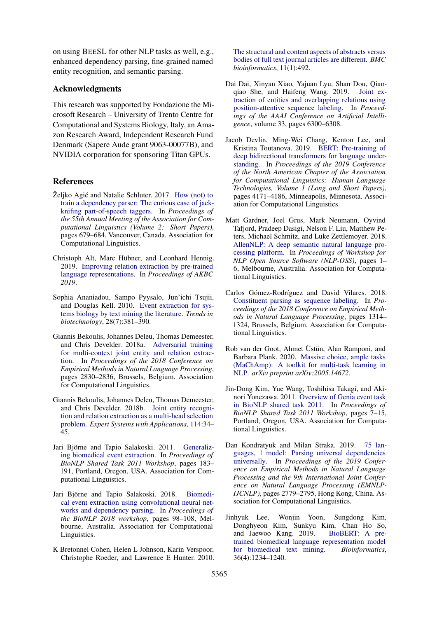on using BEESL for other NLP tasks as well, e.g., enhanced dependency parsing, fine-grained named entity recognition, and semantic parsing.

### Acknowledgments

This research was supported by Fondazione the Microsoft Research – University of Trento Centre for Computational and Systems Biology, Italy, an Amazon Research Award, Independent Research Fund Denmark (Sapere Aude grant 9063-00077B), and NVIDIA corporation for sponsoring Titan GPUs.

# References

- <span id="page-8-11"></span>Željko Agić and Natalie Schluter. 2017. [How \(not\) to](https://doi.org/10.18653/v1/P17-2107) [train a dependency parser: The curious case of jack](https://doi.org/10.18653/v1/P17-2107)[knifing part-of-speech taggers.](https://doi.org/10.18653/v1/P17-2107) In *Proceedings of the 55th Annual Meeting of the Association for Computational Linguistics (Volume 2: Short Papers)*, pages 679–684, Vancouver, Canada. Association for Computational Linguistics.
- <span id="page-8-4"></span>Christoph Alt, Marc Hübner, and Leonhard Hennig. 2019. [Improving relation extraction by pre-trained](https://openreview.net/forum?id=BJgrxbqp67) [language representations.](https://openreview.net/forum?id=BJgrxbqp67) In *Proceedings of AKBC 2019*.
- <span id="page-8-0"></span>Sophia Ananiadou, Sampo Pyysalo, Jun'ichi Tsujii, and Douglas Kell. 2010. [Event extraction for sys](https://doi.org/10.1016/j.tibtech.2010.04.005)[tems biology by text mining the literature.](https://doi.org/10.1016/j.tibtech.2010.04.005) *Trends in biotechnology*, 28(7):381–390.
- <span id="page-8-13"></span>Giannis Bekoulis, Johannes Deleu, Thomas Demeester, and Chris Develder. 2018a. [Adversarial training](https://doi.org/10.18653/v1/D18-1307) [for multi-context joint entity and relation extrac](https://doi.org/10.18653/v1/D18-1307)[tion.](https://doi.org/10.18653/v1/D18-1307) In *Proceedings of the 2018 Conference on Empirical Methods in Natural Language Processing*, pages 2830–2836, Brussels, Belgium. Association for Computational Linguistics.
- <span id="page-8-14"></span>Giannis Bekoulis, Johannes Deleu, Thomas Demeester, and Chris Develder. 2018b. [Joint entity recogni](https://doi.org/10.1016/j.eswa.2018.07.032)[tion and relation extraction as a multi-head selection](https://doi.org/10.1016/j.eswa.2018.07.032) [problem.](https://doi.org/10.1016/j.eswa.2018.07.032) *Expert Systems with Applications*, 114:34– 45.
- <span id="page-8-6"></span>Jari Björne and Tapio Salakoski. 2011. [Generaliz](https://www.aclweb.org/anthology/W11-1828)[ing biomedical event extraction.](https://www.aclweb.org/anthology/W11-1828) In *Proceedings of BioNLP Shared Task 2011 Workshop*, pages 183– 191, Portland, Oregon, USA. Association for Computational Linguistics.
- <span id="page-8-2"></span>Jari Björne and Tapio Salakoski. 2018. [Biomedi](https://doi.org/10.18653/v1/W18-2311)[cal event extraction using convolutional neural net](https://doi.org/10.18653/v1/W18-2311)[works and dependency parsing.](https://doi.org/10.18653/v1/W18-2311) In *Proceedings of the BioNLP 2018 workshop*, pages 98–108, Melbourne, Australia. Association for Computational Linguistics.
- <span id="page-8-10"></span>K Bretonnel Cohen, Helen L Johnson, Karin Verspoor, Christophe Roeder, and Lawrence E Hunter. 2010.

[The structural and content aspects of abstracts versus](https://bmcbioinformatics.biomedcentral.com/articles/10.1186/1471-2105-11-492) [bodies of full text journal articles are different.](https://bmcbioinformatics.biomedcentral.com/articles/10.1186/1471-2105-11-492) *BMC bioinformatics*, 11(1):492.

- <span id="page-8-15"></span>Dai Dai, Xinyan Xiao, Yajuan Lyu, Shan Dou, Qiaoqiao She, and Haifeng Wang. 2019. [Joint ex](https://www.aaai.org/ojs/index.php/AAAI/article/view/4591)[traction of entities and overlapping relations using](https://www.aaai.org/ojs/index.php/AAAI/article/view/4591) [position-attentive sequence labeling.](https://www.aaai.org/ojs/index.php/AAAI/article/view/4591) In *Proceedings of the AAAI Conference on Artificial Intelligence*, volume 33, pages 6300–6308.
- <span id="page-8-3"></span>Jacob Devlin, Ming-Wei Chang, Kenton Lee, and Kristina Toutanova. 2019. [BERT: Pre-training of](https://doi.org/10.18653/v1/N19-1423) [deep bidirectional transformers for language under](https://doi.org/10.18653/v1/N19-1423)[standing.](https://doi.org/10.18653/v1/N19-1423) In *Proceedings of the 2019 Conference of the North American Chapter of the Association for Computational Linguistics: Human Language Technologies, Volume 1 (Long and Short Papers)*, pages 4171–4186, Minneapolis, Minnesota. Association for Computational Linguistics.
- <span id="page-8-9"></span>Matt Gardner, Joel Grus, Mark Neumann, Oyvind Tafjord, Pradeep Dasigi, Nelson F. Liu, Matthew Peters, Michael Schmitz, and Luke Zettlemoyer. 2018. [AllenNLP: A deep semantic natural language pro](https://doi.org/10.18653/v1/W18-2501)[cessing platform.](https://doi.org/10.18653/v1/W18-2501) In *Proceedings of Workshop for NLP Open Source Software (NLP-OSS)*, pages 1– 6, Melbourne, Australia. Association for Computational Linguistics.
- <span id="page-8-12"></span>Carlos Gómez-Rodríguez and David Vilares. 2018. [Constituent parsing as sequence labeling.](https://doi.org/10.18653/v1/D18-1162) In *Proceedings of the 2018 Conference on Empirical Methods in Natural Language Processing*, pages 1314– 1324, Brussels, Belgium. Association for Computational Linguistics.
- <span id="page-8-7"></span>Rob van der Goot, Ahmet Üstün, Alan Ramponi, and Barbara Plank. 2020. [Massive choice, ample tasks](https://arxiv.org/abs/2005.14672) [\(MaChAmp\): A toolkit for multi-task learning in](https://arxiv.org/abs/2005.14672) [NLP.](https://arxiv.org/abs/2005.14672) *arXiv preprint arXiv:2005.14672*.
- <span id="page-8-1"></span>Jin-Dong Kim, Yue Wang, Toshihisa Takagi, and Akinori Yonezawa. 2011. [Overview of Genia event task](https://www.aclweb.org/anthology/W11-1802) [in BioNLP shared task 2011.](https://www.aclweb.org/anthology/W11-1802) In *Proceedings of BioNLP Shared Task 2011 Workshop*, pages 7–15, Portland, Oregon, USA. Association for Computational Linguistics.
- <span id="page-8-5"></span>Dan Kondratyuk and Milan Straka. 2019. [75 lan](https://doi.org/10.18653/v1/d19-1279)[guages, 1 model: Parsing universal dependencies](https://doi.org/10.18653/v1/d19-1279) [universally.](https://doi.org/10.18653/v1/d19-1279) In *Proceedings of the 2019 Conference on Empirical Methods in Natural Language Processing and the 9th International Joint Conference on Natural Language Processing (EMNLP-IJCNLP)*, pages 2779–2795, Hong Kong, China. Association for Computational Linguistics.
- <span id="page-8-8"></span>Jinhyuk Lee, Wonjin Yoon, Sungdong Kim, Donghyeon Kim, Sunkyu Kim, Chan Ho So, and Jaewoo Kang. 2019. [BioBERT: A pre](https://doi.org/10.1093/bioinformatics/btz682)[trained biomedical language representation model](https://doi.org/10.1093/bioinformatics/btz682) [for biomedical text mining.](https://doi.org/10.1093/bioinformatics/btz682) *Bioinformatics*, 36(4):1234–1240.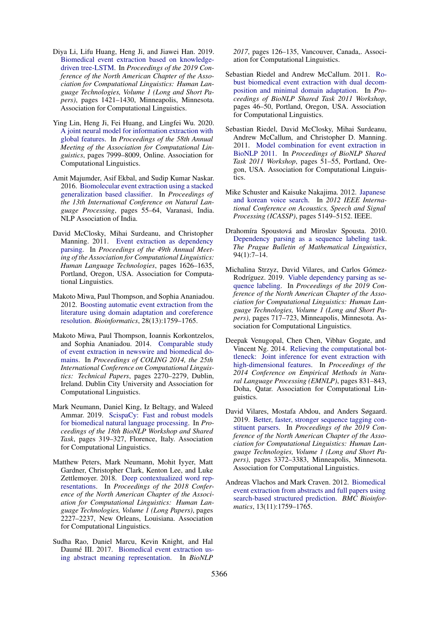- <span id="page-9-0"></span>Diya Li, Lifu Huang, Heng Ji, and Jiawei Han. 2019. [Biomedical event extraction based on knowledge](https://doi.org/10.18653/v1/N19-1145)[driven tree-LSTM.](https://doi.org/10.18653/v1/N19-1145) In *Proceedings of the 2019 Conference of the North American Chapter of the Association for Computational Linguistics: Human Language Technologies, Volume 1 (Long and Short Papers)*, pages 1421–1430, Minneapolis, Minnesota. Association for Computational Linguistics.
- <span id="page-9-15"></span>Ying Lin, Heng Ji, Fei Huang, and Lingfei Wu. 2020. [A joint neural model for information extraction with](https://doi.org/10.18653/v1/2020.acl-main.713) [global features.](https://doi.org/10.18653/v1/2020.acl-main.713) In *Proceedings of the 58th Annual Meeting of the Association for Computational Linguistics*, pages 7999–8009, Online. Association for Computational Linguistics.
- <span id="page-9-9"></span>Amit Majumder, Asif Ekbal, and Sudip Kumar Naskar. 2016. [Biomolecular event extraction using a stacked](https://www.aclweb.org/anthology/W16-6308) [generalization based classifier.](https://www.aclweb.org/anthology/W16-6308) In *Proceedings of the 13th International Conference on Natural Language Processing*, pages 55–64, Varanasi, India. NLP Association of India.
- <span id="page-9-12"></span>David McClosky, Mihai Surdeanu, and Christopher Manning. 2011. [Event extraction as dependency](https://www.aclweb.org/anthology/P11-1163) [parsing.](https://www.aclweb.org/anthology/P11-1163) In *Proceedings of the 49th Annual Meeting of the Association for Computational Linguistics: Human Language Technologies*, pages 1626–1635, Portland, Oregon, USA. Association for Computational Linguistics.
- <span id="page-9-7"></span>Makoto Miwa, Paul Thompson, and Sophia Ananiadou. 2012. [Boosting automatic event extraction from the](https://doi.org/10.1093/bioinformatics/bts237) [literature using domain adaptation and coreference](https://doi.org/10.1093/bioinformatics/bts237) [resolution.](https://doi.org/10.1093/bioinformatics/bts237) *Bioinformatics*, 28(13):1759–1765.
- <span id="page-9-1"></span>Makoto Miwa, Paul Thompson, Ioannis Korkontzelos, and Sophia Ananiadou. 2014. [Comparable study](https://www.aclweb.org/anthology/C14-1214) [of event extraction in newswire and biomedical do](https://www.aclweb.org/anthology/C14-1214)[mains.](https://www.aclweb.org/anthology/C14-1214) In *Proceedings of COLING 2014, the 25th International Conference on Computational Linguistics: Technical Papers*, pages 2270–2279, Dublin, Ireland. Dublin City University and Association for Computational Linguistics.
- <span id="page-9-16"></span>Mark Neumann, Daniel King, Iz Beltagy, and Waleed Ammar. 2019. [ScispaCy: Fast and robust models](https://doi.org/10.18653/v1/W19-5034) [for biomedical natural language processing.](https://doi.org/10.18653/v1/W19-5034) In *Proceedings of the 18th BioNLP Workshop and Shared Task*, pages 319–327, Florence, Italy. Association for Computational Linguistics.
- <span id="page-9-4"></span>Matthew Peters, Mark Neumann, Mohit Iyyer, Matt Gardner, Christopher Clark, Kenton Lee, and Luke Zettlemoyer. 2018. [Deep contextualized word rep](https://doi.org/10.18653/v1/N18-1202)[resentations.](https://doi.org/10.18653/v1/N18-1202) In *Proceedings of the 2018 Conference of the North American Chapter of the Association for Computational Linguistics: Human Language Technologies, Volume 1 (Long Papers)*, pages 2227–2237, New Orleans, Louisiana. Association for Computational Linguistics.
- <span id="page-9-13"></span>Sudha Rao, Daniel Marcu, Kevin Knight, and Hal Daumé III. 2017. [Biomedical event extraction us](https://doi.org/10.18653/v1/W17-2315)[ing abstract meaning representation.](https://doi.org/10.18653/v1/W17-2315) In *BioNLP*

*2017*, pages 126–135, Vancouver, Canada,. Association for Computational Linguistics.

- <span id="page-9-14"></span>Sebastian Riedel and Andrew McCallum. 2011. [Ro](https://www.aclweb.org/anthology/W11-1807)[bust biomedical event extraction with dual decom](https://www.aclweb.org/anthology/W11-1807)[position and minimal domain adaptation.](https://www.aclweb.org/anthology/W11-1807) In *Proceedings of BioNLP Shared Task 2011 Workshop*, pages 46–50, Portland, Oregon, USA. Association for Computational Linguistics.
- <span id="page-9-6"></span>Sebastian Riedel, David McClosky, Mihai Surdeanu, Andrew McCallum, and Christopher D. Manning. 2011. [Model combination for event extraction in](https://www.aclweb.org/anthology/W11-1808) [BioNLP 2011.](https://www.aclweb.org/anthology/W11-1808) In *Proceedings of BioNLP Shared Task 2011 Workshop*, pages 51–55, Portland, Oregon, USA. Association for Computational Linguistics.
- <span id="page-9-3"></span>Mike Schuster and Kaisuke Nakajima. 2012. [Japanese](https://ieeexplore.ieee.org/document/6289079) [and korean voice search.](https://ieeexplore.ieee.org/document/6289079) In *2012 IEEE International Conference on Acoustics, Speech and Signal Processing (ICASSP)*, pages 5149–5152. IEEE.
- <span id="page-9-11"></span>Drahomíra Spoustová and Miroslav Spousta. 2010. [Dependency parsing as a sequence labeling task.](https://content.sciendo.com/view/journals/pralin/94/2010/article-p7.xml) *The Prague Bulletin of Mathematical Linguistics*, 94(1):7–14.
- <span id="page-9-2"></span>Michalina Strzyz, David Vilares, and Carlos Gómez-Rodríguez. 2019. [Viable dependency parsing as se](https://doi.org/10.18653/v1/N19-1077)[quence labeling.](https://doi.org/10.18653/v1/N19-1077) In *Proceedings of the 2019 Conference of the North American Chapter of the Association for Computational Linguistics: Human Language Technologies, Volume 1 (Long and Short Papers)*, pages 717–723, Minneapolis, Minnesota. Association for Computational Linguistics.
- <span id="page-9-8"></span>Deepak Venugopal, Chen Chen, Vibhav Gogate, and Vincent Ng. 2014. [Relieving the computational bot](https://doi.org/10.3115/v1/D14-1090)[tleneck: Joint inference for event extraction with](https://doi.org/10.3115/v1/D14-1090) [high-dimensional features.](https://doi.org/10.3115/v1/D14-1090) In *Proceedings of the 2014 Conference on Empirical Methods in Natural Language Processing (EMNLP)*, pages 831–843, Doha, Qatar. Association for Computational Linguistics.
- <span id="page-9-5"></span>David Vilares, Mostafa Abdou, and Anders Søgaard. 2019. [Better, faster, stronger sequence tagging con](https://doi.org/10.18653/v1/N19-1341)[stituent parsers.](https://doi.org/10.18653/v1/N19-1341) In *Proceedings of the 2019 Conference of the North American Chapter of the Association for Computational Linguistics: Human Language Technologies, Volume 1 (Long and Short Papers)*, pages 3372–3383, Minneapolis, Minnesota. Association for Computational Linguistics.
- <span id="page-9-10"></span>Andreas Vlachos and Mark Craven. 2012. [Biomedical](https://doi.org/10.1186/1471-2105-13-S11-S5) [event extraction from abstracts and full papers using](https://doi.org/10.1186/1471-2105-13-S11-S5) [search-based structured prediction.](https://doi.org/10.1186/1471-2105-13-S11-S5) *BMC Bioinformatics*, 13(11):1759–1765.